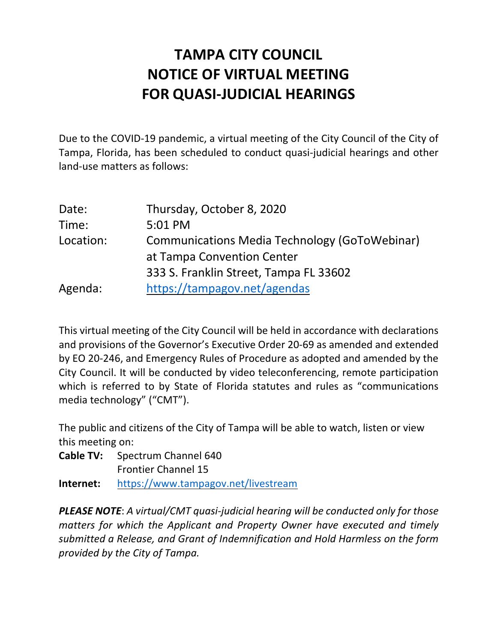# **NOTICE OF VIRTUAL MEETING TAMPA CITY COUNCIL FOR QUASI-JUDICIAL HEARINGS**

 Due to the COVID-19 pandemic, a virtual meeting of the City Council of the City of Tampa, Florida, has been scheduled to conduct quasi-judicial hearings and other land-use matters as follows:

| Date:     | Thursday, October 8, 2020                     |
|-----------|-----------------------------------------------|
| Time:     | 5:01 PM                                       |
| Location: | Communications Media Technology (GoToWebinar) |
|           | at Tampa Convention Center                    |
|           | 333 S. Franklin Street, Tampa FL 33602        |
| Agenda:   | https://tampagov.net/agendas                  |

 This virtual meeting of the City Council will be held in accordance with declarations and provisions of the Governor's Executive Order 20-69 as amended and extended by EO 20-246, and Emergency Rules of Procedure as adopted and amended by the City Council. It will be conducted by video teleconferencing, remote participation which is referred to by State of Florida statutes and rules as "communications media technology" ("CMT").

 The public and citizens of the City of Tampa will be able to watch, listen or view this meeting on:

**Cable TV:** Spectrum Channel 640

Frontier Channel 15

**Internet:** https://www.tampagov.net/livestream

 *PLEASE NOTE*: *A virtual/CMT quasi-judicial hearing will be conducted only for those matters for which the Applicant and Property Owner have executed and timely submitted a Release, and Grant of Indemnification and Hold Harmless on the form provided by the City of Tampa.*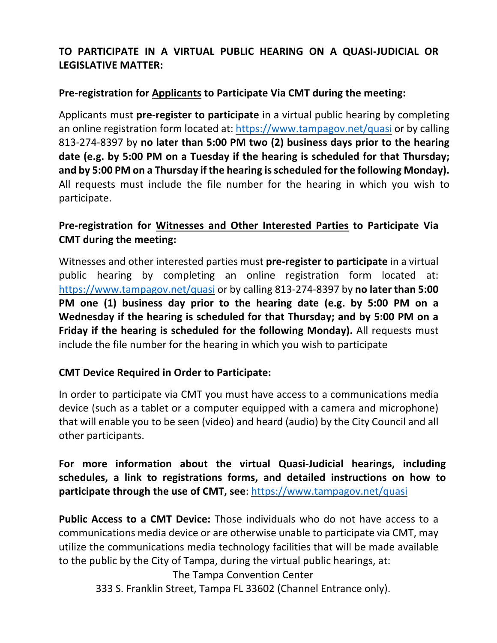# **TO PARTICIPATE IN A VIRTUAL PUBLIC HEARING ON A QUASI-JUDICIAL OR LEGISLATIVE MATTER:**

#### **Pre-registration for Applicants to Participate Via CMT during the meeting:**

 Applicants must **pre-register to participate** in a virtual public hearing by completing an online registration form located at: https://www.tampagov.net/quasi or by calling  813-274-8397 by **no later than 5:00 PM two (2) business days prior to the hearing date (e.g. by 5:00 PM on a Tuesday if the hearing is scheduled for that Thursday; and by 5:00 PM on a Thursday if the hearing is scheduled for the following Monday).**  All requests must include the file number for the hearing in which you wish to participate.

#### **Pre-registration for Witnesses and Other Interested Parties to Participate Via CMT during the meeting:**

 Witnesses and other interested parties must **pre-register to participate** in a virtual public hearing by completing an online registration form located at: https://www.tampagov.net/quasi or by calling 813-274-8397 by **no later than 5:00 PM one (1) business day prior to the hearing date (e.g. by 5:00 PM on a Wednesday if the hearing is scheduled for that Thursday; and by 5:00 PM on a Friday if the hearing is scheduled for the following Monday).** All requests must include the file number for the hearing in which you wish to participate

## **CMT Device Required in Order to Participate:**

 In order to participate via CMT you must have access to a communications media device (such as a tablet or a computer equipped with a camera and microphone) that will enable you to be seen (video) and heard (audio) by the City Council and all other participants.

 **For more information about the virtual Quasi-Judicial hearings, including schedules, a link to registrations forms, and detailed instructions on how to**  participate through the use of CMT, see: https://www.tampagov.net/quasi

 **Public Access to a CMT Device:** Those individuals who do not have access to a communications media device or are otherwise unable to participate via CMT, may utilize the communications media technology facilities that will be made available to the public by the City of Tampa, during the virtual public hearings, at:

 333 S. Franklin Street, Tampa FL 33602 (Channel Entrance only). The Tampa Convention Center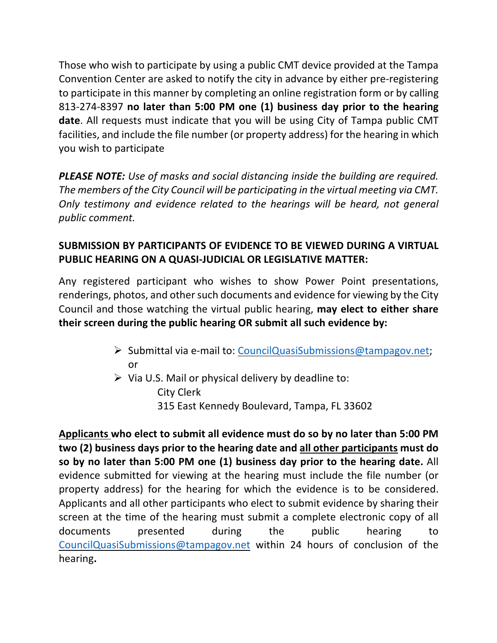Those who wish to participate by using a public CMT device provided at the Tampa to participate in this manner by completing an online registration form or by calling  813-274-8397 **no later than 5:00 PM one (1) business day prior to the hearing date**. All requests must indicate that you will be using City of Tampa public CMT facilities, and include the file number (or property address) for the hearing in which you wish to participate Convention Center are asked to notify the city in advance by either pre-registering

 *PLEASE NOTE: Use of masks and social distancing inside the building are required. The members of the City Council will be participating in the virtual meeting via CMT. Only testimony and evidence related to the hearings will be heard, not general public comment.* 

# **SUBMISSION BY PARTICIPANTS OF EVIDENCE TO BE VIEWED DURING A VIRTUAL PUBLIC HEARING ON A QUASI-JUDICIAL OR LEGISLATIVE MATTER:**

 Any registered participant who wishes to show Power Point presentations, renderings, photos, and other such documents and evidence for viewing by the City Council and those watching the virtual public hearing, **may elect to either share their screen during the public hearing OR submit all such evidence by:** 

- • Submittal via e-mail to: CouncilQuasiSubmissions@tampagov.net; or
- $\triangleright$  Via U.S. Mail or physical delivery by deadline to: 315 East Kennedy Boulevard, Tampa, FL 33602 City Clerk

 **Applicants who elect to submit all evidence must do so by no later than 5:00 PM two (2) business days prior to the hearing date and all other participants must do so by no later than 5:00 PM one (1) business day prior to the hearing date.** All evidence submitted for viewing at the hearing must include the file number (or property address) for the hearing for which the evidence is to be considered. Applicants and all other participants who elect to submit evidence by sharing their screen at the time of the hearing must submit a complete electronic copy of all during CouncilQuasiSubmissions@tampagov.net within 24 hours of conclusion of the documents presented during the public hearing to hearing**.**